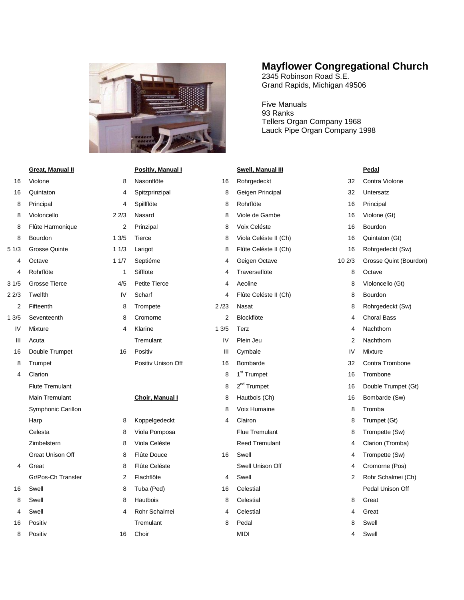

|                | <b>Great, Manual II</b>  |                | Positiv, Manual I            |      |                |
|----------------|--------------------------|----------------|------------------------------|------|----------------|
| 16             | Violone                  | 8              | Nasonflöte                   | 16   | S<br>R         |
| 16             | Quintaton                | 4              |                              | 8    | C              |
| 8              |                          | 4              | Spitzprinzipal<br>Spillflöte | 8    | R              |
| 8              | Principal<br>Violoncello | 22/3           | Nasard                       | 8    | ν              |
| 8              |                          | $\overline{2}$ |                              | 8    |                |
|                | Flûte Harmonique         |                | Prinzipal                    |      | ٧              |
| 8              | Bourdon                  | 13/5           | <b>Tierce</b>                | 8    | ٧              |
| 51/3           | <b>Grosse Quinte</b>     | 11/3           | Larigot                      | 8    | F              |
| 4              | Octave                   | 11/7           | Septiéme                     | 4    | C              |
| 4              | Rohrflöte                | 1              | Sifflöte                     | 4    | Τ              |
| 3 1/5          | <b>Grosse Tierce</b>     | 4/5            | Petite Tierce                | 4    | A              |
| 2 2/3          | Twelfth                  | IV             | Scharf                       | 4    | F              |
| $\overline{2}$ | Fifteenth                | 8              | Trompete                     | 2/23 | Ν              |
| 13/5           | Seventeenth              | 8              | Cromorne                     | 2    | B              |
| IV             | Mixture                  | 4              | Klarine                      | 13/5 | T              |
| Ш              | Acuta                    |                | Tremulant                    | IV   | P              |
| 16             | Double Trumpet           | 16             | Positiv                      | Ш    | C              |
| 8              | Trumpet                  |                | Positiv Unison Off           | 16   | B              |
| 4              | Clarion                  |                |                              | 8    | 1              |
|                | <b>Flute Tremulant</b>   |                |                              | 8    | $\overline{2}$ |
|                | Main Tremulant           |                | <b>Choir, Manual I</b>       | 8    | ۲              |
|                | Symphonic Carillon       |                |                              | 8    | ٧              |
|                | Harp                     | 8              | Koppelgedeckt                | 4    | C              |
|                | Celesta                  | 8              | Viola Pomposa                |      | F              |
|                | Zimbelstern              | 8              | Viola Celéste                |      | R              |
|                | <b>Great Unison Off</b>  | 8              | Flûte Douce                  | 16   | S              |
| 4              | Great                    | 8              | Flûte Celéste                |      | S              |
|                | Gr/Pos-Ch Transfer       | $\overline{2}$ | Flachflöte                   | 4    | S              |
| 16             | Swell                    | 8              | Tuba (Ped)                   | 16   | C              |
| 8              | Swell                    | 8              | Hautbois                     | 8    | C              |
| 4              | Swell                    | 4              | Rohr Schalmei                | 4    | C              |
| 16             | Positiv                  |                | Tremulant                    | R    | P              |

|  | <b>Positiv</b> |  |
|--|----------------|--|

| 8   | Nasonflöte           |
|-----|----------------------|
| 4   | Spitzprinzipal       |
| 4   | Spillflöte           |
| 2/3 | Nasard               |
| 2   | Prinzipal            |
| 3/5 | Tierce               |
| 1/3 | Larigot              |
| 1/7 | Septiéme             |
| 1   | Sifflöte             |
| 4/5 | <b>Petite Tierce</b> |
| I٧  | Scharf               |
| 8   | Trompete             |
| 8   | Cromorne             |
| 4   | Klarine              |
|     | Tremulant            |
| 16  | Positiv              |

|                | Harp                    | 8 | Koppelgedeckt        | 4              | Clairon               | 8              | Trum                 |
|----------------|-------------------------|---|----------------------|----------------|-----------------------|----------------|----------------------|
|                | Celesta                 | 8 | Viola Pomposa        |                | Flue Tremulant        | 8              | Trom                 |
|                | Zimbelstern             | 8 | Viola Celéste        |                | <b>Reed Tremulant</b> | 4              | Clario               |
|                | <b>Great Unison Off</b> | 8 | Flûte Douce          | 16             | Swell                 | 4              | Trom                 |
| 4              | Great                   | 8 | Flûte Celéste        |                | Swell Unison Off      | $\overline{4}$ | Crom                 |
|                | Gr/Pos-Ch Transfer      | 2 | Flachflöte           | $\overline{4}$ | Swell                 | 2              | Rohr                 |
| 16             | Swell                   | 8 | Tuba (Ped)           | 16             | Celestial             |                | Peda                 |
| 8              | Swell                   | 8 | Hautbois             | 8              | Celestial             | 8              | Grea                 |
| $\overline{4}$ | Swell                   | 4 | Rohr Schalmei        | 4              | Celestial             | 4              | Grea                 |
| 16             | Positiv                 |   | Tremulant            | 8              | Pedal                 | 8              | Swell                |
|                | .                       |   | $\sim$ $\sim$ $\sim$ |                | $\cdots$              |                | $\sim$ $\sim$ $\sim$ |

## **Mayflower Congregational Church**

2345 Robinson Road S.E. Grand Rapids, Michigan 49506

Five Manuals 93 Ranks Tellers Organ Company 1968 Lauck Pipe Organ Company 1998

## **Positiv, Manual I Consumersity, Manual III Pedal**

| 16             | Violone                | 8    | Nasonflöte           | 16   | Rohrgedeckt             | 32             | Contra Violone         |
|----------------|------------------------|------|----------------------|------|-------------------------|----------------|------------------------|
| 16             | Quintaton              | 4    | Spitzprinzipal       | 8    | Geigen Principal        | 32             | Untersatz              |
| 8              | Principal              | 4    | Spillflöte           | 8    | Rohrflöte               | 16             | Principal              |
| 8              | Violoncello            | 22/3 | Nasard               | 8    | Viole de Gambe          | 16             | Violone (Gt)           |
| 8              | Flûte Harmonique       | 2    | Prinzipal            | 8    | Voix Celéste            | 16             | Bourdon                |
| 8              | Bourdon                | 13/5 | Tierce               | 8    | Viola Celéste II (Ch)   | 16             | Quintaton (Gt)         |
| 51/3           | <b>Grosse Quinte</b>   | 11/3 | Larigot              | 8    | Flûte Celéste II (Ch)   | 16             | Rohrgedeckt (Sw)       |
| 4              | Octave                 | 11/7 | Septiéme             | 4    | Geigen Octave           | 102/3          | Grosse Quint (Bourdon) |
| 4              | Rohrflöte              | 1    | Sifflöte             | 4    | Traverseflöte           | 8              | Octave                 |
| 31/5           | <b>Grosse Tierce</b>   | 4/5  | <b>Petite Tierce</b> | 4    | Aeoline                 | 8              | Violoncello (Gt)       |
| 22/3           | Twelfth                | IV   | Scharf               | 4    | Flûte Celéste II (Ch)   | 8              | Bourdon                |
| $\overline{2}$ | Fifteenth              | 8    | Trompete             | 2/23 | Nasat                   | 8              | Rohrgedeckt (Sw)       |
| 13/5           | Seventeenth            | 8    | Cromorne             | 2    | <b>Blockflöte</b>       | 4              | <b>Choral Bass</b>     |
| IV             | Mixture                | 4    | Klarine              | 13/5 | Terz                    | 4              | Nachthorn              |
| Ш              | Acuta                  |      | Tremulant            | IV   | Plein Jeu               | 2              | Nachthorn              |
| 16             | Double Trumpet         | 16   | Positiv              | Ш    | Cymbale                 | IV             | Mixture                |
| 8              | Trumpet                |      | Positiv Unison Off   | 16   | Bombarde                | 32             | Contra Trombone        |
| 4              | Clarion                |      |                      | 8    | 1 <sup>st</sup> Trumpet | 16             | Trombone               |
|                | <b>Flute Tremulant</b> |      |                      | 8    | 2 <sup>nd</sup> Trumpet | 16             | Double Trumpet (Gt)    |
|                | Main Tremulant         |      | Choir, Manual I      | 8    | Hautbois (Ch)           | 16             | Bombarde (Sw)          |
|                | Symphonic Carillon     |      |                      | 8    | Voix Humaine            | 8              | Tromba                 |
|                | Harp                   | 8    | Koppelgedeckt        | 4    | Clairon                 | 8              | Trumpet (Gt)           |
|                | Celesta                | 8    | Viola Pomposa        |      | <b>Flue Tremulant</b>   | 8              | Trompette (Sw)         |
|                | Zimbelstern            | 8    | Viola Celéste        |      | <b>Reed Tremulant</b>   | 4              | Clarion (Tromba)       |
|                | Great Unison Off       | 8    | Flûte Douce          | 16   | Swell                   | 4              | Trompette (Sw)         |
| 4              | Great                  | 8    | Flûte Celéste        |      | Swell Unison Off        | 4              | Cromorne (Pos)         |
|                | Gr/Pos-Ch Transfer     | 2    | Flachflöte           | 4    | Swell                   | $\overline{2}$ | Rohr Schalmei (Ch)     |
| 16             | Swell                  | 8    | Tuba (Ped)           | 16   | Celestial               |                | Pedal Unison Off       |
| 8              | Swell                  | 8    | Hautbois             | 8    | Celestial               | 8              | Great                  |
| 4              | Swell                  | 4    | Rohr Schalmei        | 4    | Celestial               | 4              | Great                  |
|                |                        |      |                      |      |                         |                |                        |

Violoncello (Gt) Trombone Double Trumpet (Gt) Trompette (Sw) Clarion (Tromba) Trompette (Sw) Cromorne (Pos) Rohr Schalmei (Ch) Pedal Unison Off 8 Positiv 16 Choir MIDI 4 Swell